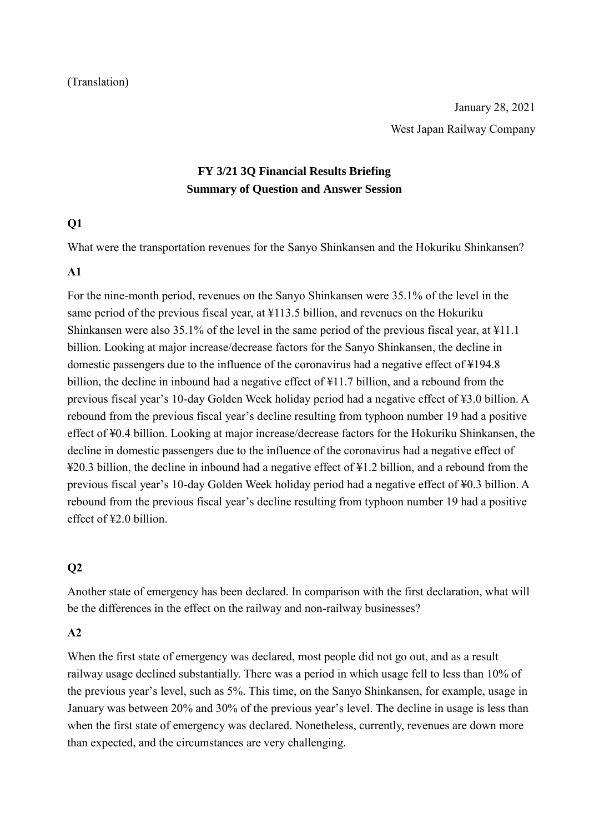#### (Translation)

# **FY 3/21 3Q Financial Results Briefing Summary of Question and Answer Session**

### **Q1**

What were the transportation revenues for the Sanyo Shinkansen and the Hokuriku Shinkansen?

#### **A1**

For the nine-month period, revenues on the Sanyo Shinkansen were 35.1% of the level in the same period of the previous fiscal year, at ¥113.5 billion, and revenues on the Hokuriku Shinkansen were also 35.1% of the level in the same period of the previous fiscal year, at ¥11.1 billion. Looking at major increase/decrease factors for the Sanyo Shinkansen, the decline in domestic passengers due to the influence of the coronavirus had a negative effect of ¥194.8 billion, the decline in inbound had a negative effect of ¥11.7 billion, and a rebound from the previous fiscal year's 10-day Golden Week holiday period had a negative effect of ¥3.0 billion. A rebound from the previous fiscal year's decline resulting from typhoon number 19 had a positive effect of ¥0.4 billion. Looking at major increase/decrease factors for the Hokuriku Shinkansen, the decline in domestic passengers due to the influence of the coronavirus had a negative effect of ¥20.3 billion, the decline in inbound had a negative effect of ¥1.2 billion, and a rebound from the previous fiscal year's 10-day Golden Week holiday period had a negative effect of ¥0.3 billion. A rebound from the previous fiscal year's decline resulting from typhoon number 19 had a positive effect of ¥2.0 billion.

## **Q2**

Another state of emergency has been declared. In comparison with the first declaration, what will be the differences in the effect on the railway and non-railway businesses?

#### **A2**

When the first state of emergency was declared, most people did not go out, and as a result railway usage declined substantially. There was a period in which usage fell to less than 10% of the previous year's level, such as 5%. This time, on the Sanyo Shinkansen, for example, usage in January was between 20% and 30% of the previous year's level. The decline in usage is less than when the first state of emergency was declared. Nonetheless, currently, revenues are down more than expected, and the circumstances are very challenging.